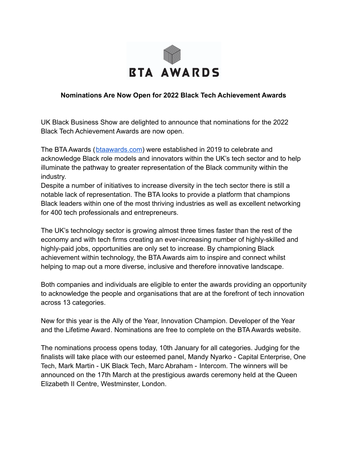

## **Nominations Are Now Open for 2022 Black Tech Achievement Awards**

UK Black Business Show are delighted to announce that nominations for the 2022 Black Tech Achievement Awards are now open.

The BTA Awards ([btaawards.com](http://btaawards.com)) were established in 2019 to celebrate and acknowledge Black role models and innovators within the UK's tech sector and to help illuminate the pathway to greater representation of the Black community within the industry.

Despite a number of initiatives to increase diversity in the tech sector there is still a notable lack of representation. The BTA looks to provide a platform that champions Black leaders within one of the most thriving industries as well as excellent networking for 400 tech professionals and entrepreneurs.

The UK's technology sector is growing almost three times faster than the rest of the economy and with tech firms creating an ever-increasing number of highly-skilled and highly-paid jobs, opportunities are only set to increase. By championing Black achievement within technology, the BTA Awards aim to inspire and connect whilst helping to map out a more diverse, inclusive and therefore innovative landscape.

Both companies and individuals are eligible to enter the awards providing an opportunity to acknowledge the people and organisations that are at the forefront of tech innovation across 13 categories.

New for this year is the Ally of the Year, Innovation Champion. Developer of the Year and the Lifetime Award. Nominations are free to complete on the BTA Awards website.

The nominations process opens today, 10th January for all categories. Judging for the finalists will take place with our esteemed panel, Mandy Nyarko - Capital Enterprise, One Tech, Mark Martin - UK Black Tech, Marc Abraham - Intercom. The winners will be announced on the 17th March at the prestigious awards ceremony held at the Queen Elizabeth II Centre, Westminster, London.